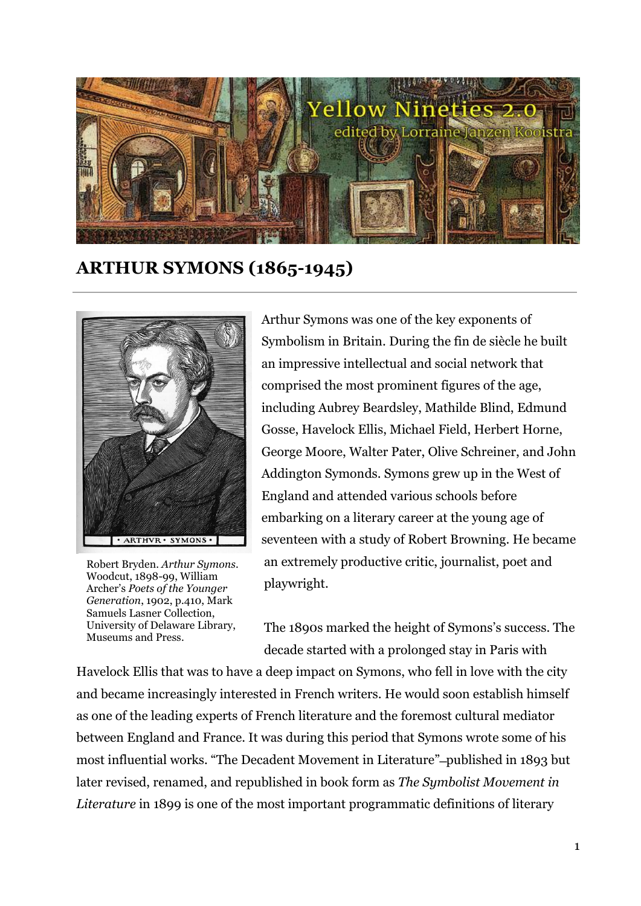

**ARTHUR SYMONS (1865-1945)**



Robert Bryden. *Arthur Symons*. Woodcut, 1898-99, William Archer's *Poets of the Younger Generation*, 1902, p.410, Mark Samuels Lasner Collection, University of Delaware Library, Museums and Press.

Arthur Symons was one of the key exponents of Symbolism in Britain. During the fin de siècle he built an impressive intellectual and social network that comprised the most prominent figures of the age, including Aubrey Beardsley, Mathilde Blind, Edmund Gosse, Havelock Ellis, Michael Field, Herbert Horne, George Moore, Walter Pater, Olive Schreiner, and John Addington Symonds. Symons grew up in the West of England and attended various schools before embarking on a literary career at the young age of seventeen with a study of Robert Browning. He became an extremely productive critic, journalist, poet and playwright.

The 1890s marked the height of Symons's success. The decade started with a prolonged stay in Paris with

Havelock Ellis that was to have a deep impact on Symons, who fell in love with the city and became increasingly interested in French writers. He would soon establish himself as one of the leading experts of French literature and the foremost cultural mediator between England and France. It was during this period that Symons wrote some of his most influential works. "The Decadent Movement in Literature" ̶published in 1893 but later revised, renamed, and republished in book form as *The Symbolist Movement in Literature* in 1899 is one of the most important programmatic definitions of literary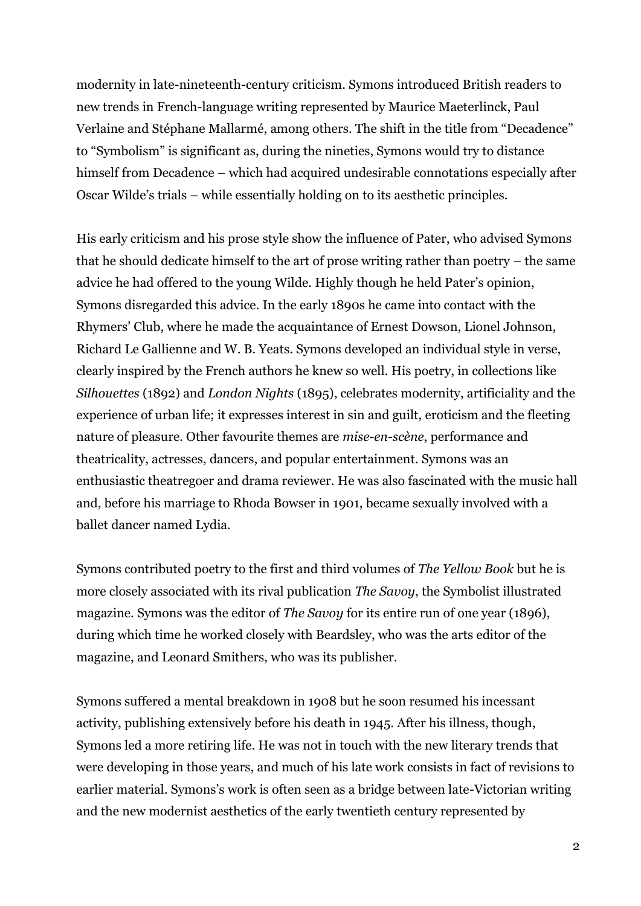modernity in late-nineteenth-century criticism. Symons introduced British readers to new trends in French-language writing represented by Maurice Maeterlinck, Paul Verlaine and Stéphane Mallarmé, among others. The shift in the title from "Decadence" to "Symbolism" is significant as, during the nineties, Symons would try to distance himself from Decadence – which had acquired undesirable connotations especially after Oscar Wilde's trials – while essentially holding on to its aesthetic principles.

His early criticism and his prose style show the influence of Pater, who advised Symons that he should dedicate himself to the art of prose writing rather than poetry – the same advice he had offered to the young Wilde. Highly though he held Pater's opinion, Symons disregarded this advice. In the early 1890s he came into contact with the Rhymers' Club, where he made the acquaintance of Ernest Dowson, Lionel Johnson, Richard Le Gallienne and W. B. Yeats. Symons developed an individual style in verse, clearly inspired by the French authors he knew so well. His poetry, in collections like *Silhouettes* (1892) and *London Nights* (1895), celebrates modernity, artificiality and the experience of urban life; it expresses interest in sin and guilt, eroticism and the fleeting nature of pleasure. Other favourite themes are *mise-en-scène*, performance and theatricality, actresses, dancers, and popular entertainment. Symons was an enthusiastic theatregoer and drama reviewer. He was also fascinated with the music hall and, before his marriage to Rhoda Bowser in 1901, became sexually involved with a ballet dancer named Lydia.

Symons contributed poetry to the first and third volumes of *The Yellow Book* but he is more closely associated with its rival publication *The Savoy*, the Symbolist illustrated magazine. Symons was the editor of *The Savoy* for its entire run of one year (1896), during which time he worked closely with Beardsley, who was the arts editor of the magazine, and Leonard Smithers, who was its publisher.

Symons suffered a mental breakdown in 1908 but he soon resumed his incessant activity, publishing extensively before his death in 1945. After his illness, though, Symons led a more retiring life. He was not in touch with the new literary trends that were developing in those years, and much of his late work consists in fact of revisions to earlier material. Symons's work is often seen as a bridge between late-Victorian writing and the new modernist aesthetics of the early twentieth century represented by